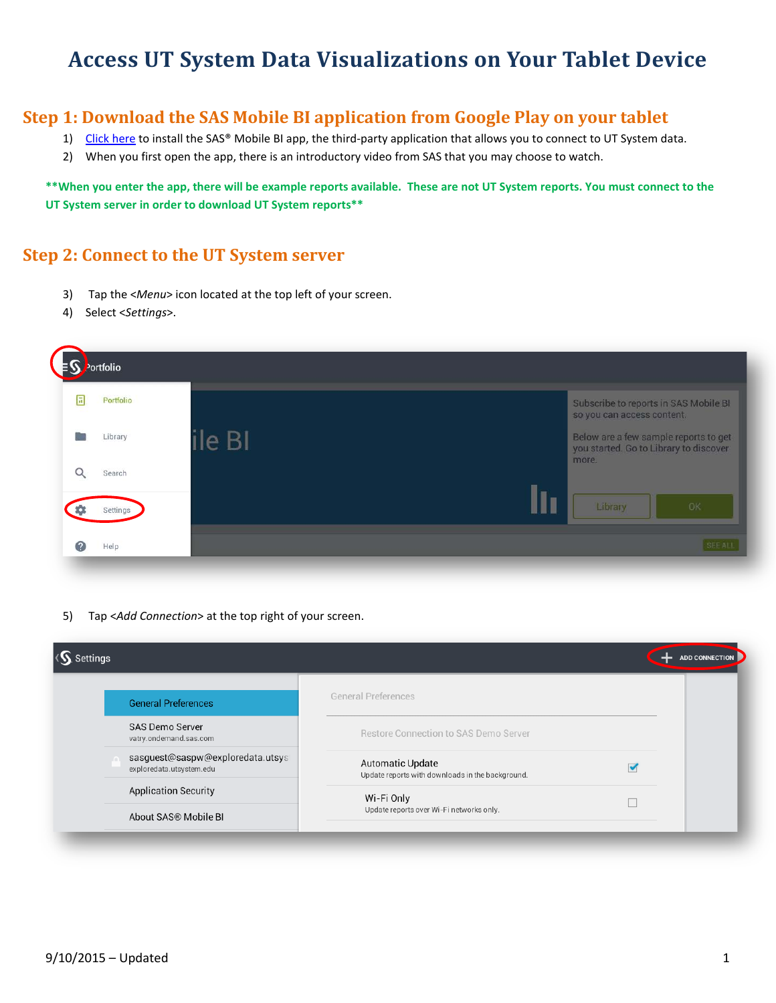## **Access UT System Data Visualizations on Your Tablet Device**

## **Step 1: Download the SAS Mobile BI application from Google Play on your tablet**

- 1) [Click here](https://play.google.com/store/apps/details?id=com.sas.android.bimobile&hl=en) to install the SAS® Mobile BI app, the third-party application that allows you to connect to UT System data.
- 2) When you first open the app, there is an introductory video from SAS that you may choose to watch.

**\*\*When you enter the app, there will be example reports available. These are not UT System reports. You must connect to the UT System server in order to download UT System reports\*\***

## **Step 2: Connect to the UT System server**

- 3) Tap the <*Menu*> icon located at the top left of your screen.
- 4) Select <*Settings*>.

|           | Portfolio |        |                                                                                 |
|-----------|-----------|--------|---------------------------------------------------------------------------------|
| Ε         | Portfolio |        | Subscribe to reports in SAS Mobile BI<br>so you can access content.             |
|           | Library   | ile BI | Below are a few sample reports to get<br>you started. Go to Library to discover |
| u         | Search    |        | more.                                                                           |
|           | Settings  |        | Library<br>OK                                                                   |
| $\bullet$ | Help      |        | SEE AL                                                                          |

5) Tap <*Add Connection*> at the top right of your screen.

| <s. settings<="" th=""><th></th><th><b>ADD CONNECTION</b></th></s.> |                                                                             | <b>ADD CONNECTION</b> |
|---------------------------------------------------------------------|-----------------------------------------------------------------------------|-----------------------|
| <b>General Preferences</b>                                          | <b>General Preferences</b>                                                  |                       |
| <b>SAS Demo Server</b><br>vatry.ondemand.sas.com                    | Restore Connection to SAS Demo Server                                       |                       |
| sasquest@saspw@exploredata.utsys<br>exploredata.utsystem.edu        | <b>Automatic Update</b><br>Update reports with downloads in the background. |                       |
| <b>Application Security</b>                                         | Wi-Fi Only                                                                  |                       |
| About SAS® Mobile BI                                                | Update reports over Wi-Fi networks only.                                    |                       |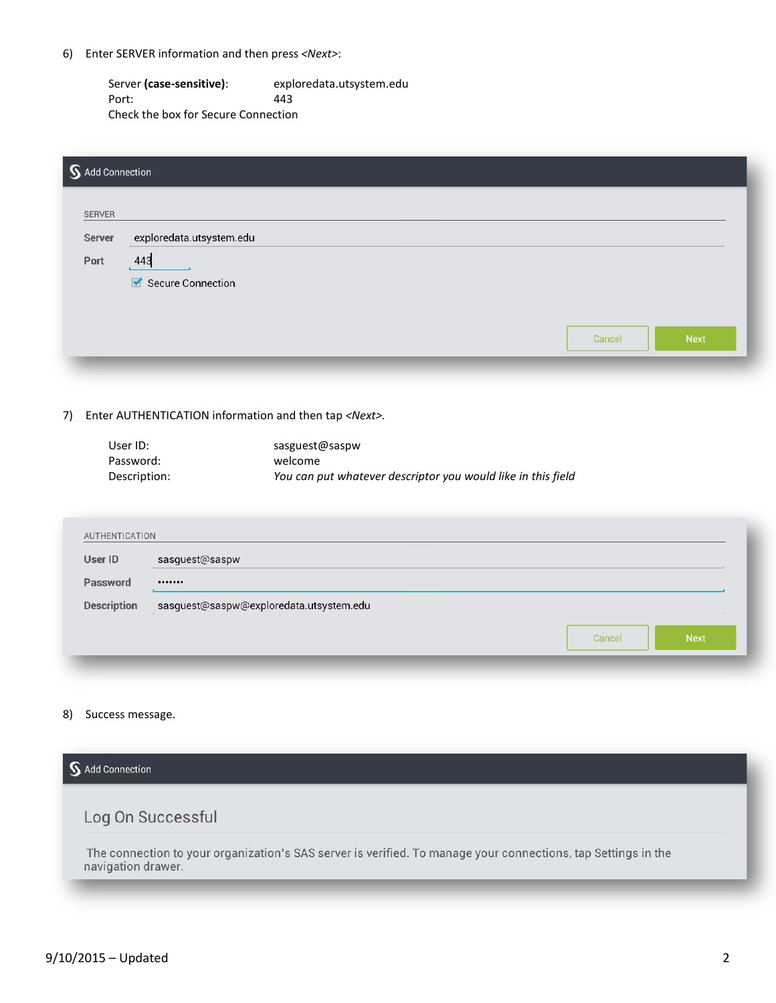6) Enter SERVER information and then press *<Next>*:

Server **(case-sensitive)**: exploredata.utsystem.edu Port: 443 Check the box for Secure Connection

| S. Add Connection |                          |        |             |
|-------------------|--------------------------|--------|-------------|
| SERVER            |                          |        |             |
| Server            | exploredata.utsystem.edu |        |             |
| Port              | 443                      |        |             |
|                   | Secure Connection        |        |             |
|                   |                          |        |             |
|                   |                          | Cancel | <b>Next</b> |
|                   |                          |        |             |

7) Enter AUTHENTICATION information and then tap *<Next>.*

| User ID:     | sasguest@saspw                                               |
|--------------|--------------------------------------------------------------|
| Password:    | welcome                                                      |
| Description: | You can put whatever descriptor you would like in this field |

| User ID            | sasguest@saspw                          |
|--------------------|-----------------------------------------|
| Password           |                                         |
| <b>Description</b> | sasguest@saspw@exploredata.utsystem.edu |
|                    | <b>Next</b><br>Cancel                   |

8) Success message.

| <b>Add Connection</b>                                                                                                               |  |
|-------------------------------------------------------------------------------------------------------------------------------------|--|
| Log On Successful                                                                                                                   |  |
| The connection to your organization's SAS server is verified. To manage your connections, tap Settings in the<br>navigation drawer. |  |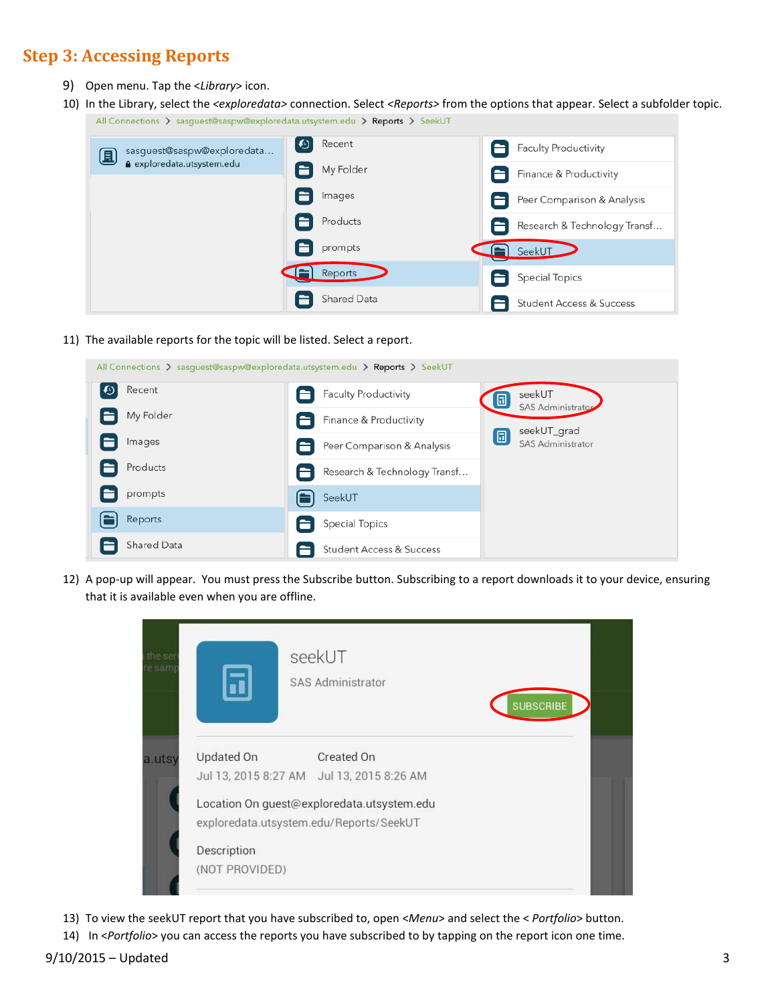## **Step 3: Accessing Reports**

- 9) Open menu. Tap the <*Library*> icon.
- 10) In the Library, select the *<exploredata>* connection. Select *<Reports>* from the options that appear. Select a subfolder topic. All Connections > sasguest@saspw@exploredata.utsystem.edu > Reports > SeekUT

| sasguest@saspw@exploredata<br>圓 | [④<br>Recent | Faculty Productivity                |
|---------------------------------|--------------|-------------------------------------|
| exploredata.utsystem.edu        | My Folder    | Finance & Productivity              |
|                                 | Images       | Peer Comparison & Analysis          |
|                                 | Products     | Research & Technology Transf        |
|                                 | prompts      | $\blacksquare$ SeekUT               |
|                                 | Reports      | <b>Special Topics</b>               |
|                                 | Shared Data  | <b>Student Access &amp; Success</b> |

11) The available reports for the topic will be listed. Select a report.

| All Connections $\sum$ sasquest@saspw@exploredata.utsystem.edu $\sum$ Reports $\sum$ SeekUT |                                                             |  |  |  |  |  |
|---------------------------------------------------------------------------------------------|-------------------------------------------------------------|--|--|--|--|--|
| ©<br>Recent                                                                                 | Faculty Productivity<br>seekUT<br>圓<br>SAS Administrator    |  |  |  |  |  |
| My Folder                                                                                   | Finance & Productivity<br>seekUT_grad                       |  |  |  |  |  |
| Images                                                                                      | 圓<br><b>SAS Administrator</b><br>Peer Comparison & Analysis |  |  |  |  |  |
| Products                                                                                    | Research & Technology Transf                                |  |  |  |  |  |
| prompts                                                                                     | SeekUT                                                      |  |  |  |  |  |
| Reports                                                                                     | Special Topics                                              |  |  |  |  |  |
| Shared Data                                                                                 | Student Access & Success                                    |  |  |  |  |  |

12) A pop-up will appear. You must press the Subscribe button. Subscribing to a report downloads it to your device, ensuring that it is available even when you are offline.

| the ser<br>e samp | seekUT<br>SAS Administrator                                                           | <b>SUBSCRIBE</b> |
|-------------------|---------------------------------------------------------------------------------------|------------------|
| a.utsy            | Updated On<br>Created On<br>Jul 13, 2015 8:27 AM Jul 13, 2015 8:26 AM                 |                  |
|                   | Location On guest@exploredata.utsystem.edu<br>exploredata.utsystem.edu/Reports/SeekUT |                  |
|                   | Description<br>(NOT PROVIDED)                                                         |                  |

- 13) To view the seekUT report that you have subscribed to, open <*Menu*> and select the < *Portfolio*> button.
- 14) In <*Portfolio*> you can access the reports you have subscribed to by tapping on the report icon one time.